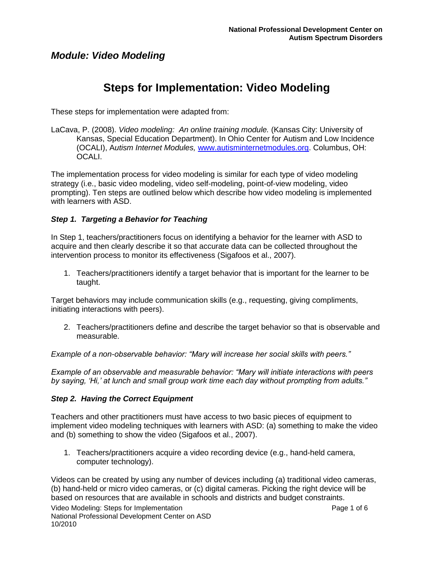# **Steps for Implementation: Video Modeling**

These steps for implementation were adapted from:

LaCava, P. (2008). *Video modeling: An online training module.* (Kansas City: University of Kansas, Special Education Department). In Ohio Center for Autism and Low Incidence (OCALI), A*utism Internet Modules,* [www.autisminternetmodules.org.](http://www.autisminternetmodules.org/) Columbus, OH: OCALI.

The implementation process for video modeling is similar for each type of video modeling strategy (i.e., basic video modeling, video self-modeling, point-of-view modeling, video prompting). Ten steps are outlined below which describe how video modeling is implemented with learners with ASD.

### *Step 1. Targeting a Behavior for Teaching*

In Step 1, teachers/practitioners focus on identifying a behavior for the learner with ASD to acquire and then clearly describe it so that accurate data can be collected throughout the intervention process to monitor its effectiveness (Sigafoos et al., 2007).

1. Teachers/practitioners identify a target behavior that is important for the learner to be taught.

Target behaviors may include communication skills (e.g., requesting, giving compliments, initiating interactions with peers).

2. Teachers/practitioners define and describe the target behavior so that is observable and measurable.

*Example of a non-observable behavior: "Mary will increase her social skills with peers."*

*Example of an observable and measurable behavior: "Mary will initiate interactions with peers by saying, "Hi," at lunch and small group work time each day without prompting from adults."*

#### *Step 2. Having the Correct Equipment*

Teachers and other practitioners must have access to two basic pieces of equipment to implement video modeling techniques with learners with ASD: (a) something to make the video and (b) something to show the video (Sigafoos et al., 2007).

1. Teachers/practitioners acquire a video recording device (e.g., hand-held camera, computer technology).

Videos can be created by using any number of devices including (a) traditional video cameras, (b) hand-held or micro video cameras, or (c) digital cameras. Picking the right device will be based on resources that are available in schools and districts and budget constraints.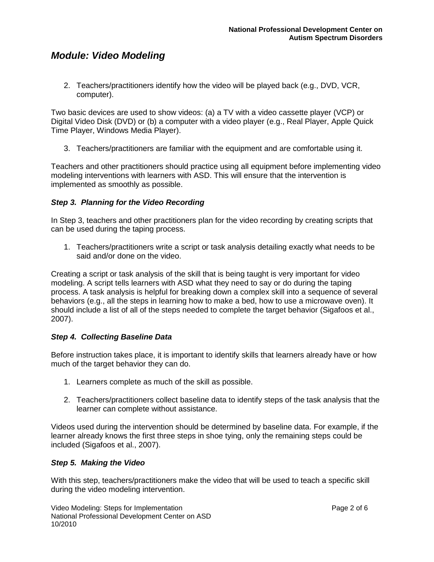2. Teachers/practitioners identify how the video will be played back (e.g., DVD, VCR, computer).

Two basic devices are used to show videos: (a) a TV with a video cassette player (VCP) or Digital Video Disk (DVD) or (b) a computer with a video player (e.g., Real Player, Apple Quick Time Player, Windows Media Player).

3. Teachers/practitioners are familiar with the equipment and are comfortable using it.

Teachers and other practitioners should practice using all equipment before implementing video modeling interventions with learners with ASD. This will ensure that the intervention is implemented as smoothly as possible.

### *Step 3. Planning for the Video Recording*

In Step 3, teachers and other practitioners plan for the video recording by creating scripts that can be used during the taping process.

1. Teachers/practitioners write a script or task analysis detailing exactly what needs to be said and/or done on the video.

Creating a script or task analysis of the skill that is being taught is very important for video modeling. A script tells learners with ASD what they need to say or do during the taping process. A task analysis is helpful for breaking down a complex skill into a sequence of several behaviors (e.g., all the steps in learning how to make a bed, how to use a microwave oven). It should include a list of all of the steps needed to complete the target behavior (Sigafoos et al., 2007).

### *Step 4. Collecting Baseline Data*

Before instruction takes place, it is important to identify skills that learners already have or how much of the target behavior they can do.

- 1. Learners complete as much of the skill as possible.
- 2. Teachers/practitioners collect baseline data to identify steps of the task analysis that the learner can complete without assistance.

Videos used during the intervention should be determined by baseline data. For example, if the learner already knows the first three steps in shoe tying, only the remaining steps could be included (Sigafoos et al., 2007).

### *Step 5. Making the Video*

With this step, teachers/practitioners make the video that will be used to teach a specific skill during the video modeling intervention.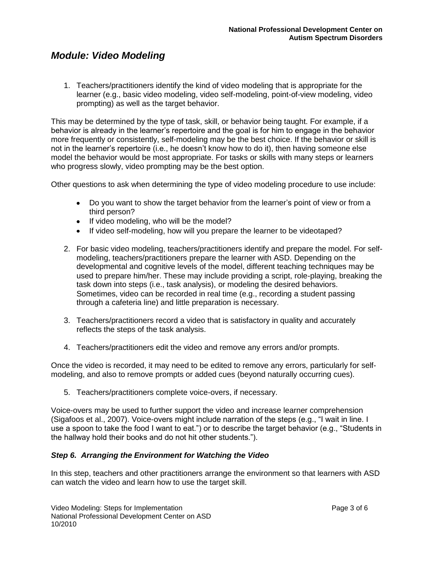1. Teachers/practitioners identify the kind of video modeling that is appropriate for the learner (e.g., basic video modeling, video self-modeling, point-of-view modeling, video prompting) as well as the target behavior.

This may be determined by the type of task, skill, or behavior being taught. For example, if a behavior is already in the learner's repertoire and the goal is for him to engage in the behavior more frequently or consistently, self-modeling may be the best choice. If the behavior or skill is not in the learner's repertoire (i.e., he doesn't know how to do it), then having someone else model the behavior would be most appropriate. For tasks or skills with many steps or learners who progress slowly, video prompting may be the best option.

Other questions to ask when determining the type of video modeling procedure to use include:

- Do you want to show the target behavior from the learner's point of view or from a third person?
- If video modeling, who will be the model?
- If video self-modeling, how will you prepare the learner to be videotaped?
- 2. For basic video modeling, teachers/practitioners identify and prepare the model. For selfmodeling, teachers/practitioners prepare the learner with ASD. Depending on the developmental and cognitive levels of the model, different teaching techniques may be used to prepare him/her. These may include providing a script, role-playing, breaking the task down into steps (i.e., task analysis), or modeling the desired behaviors. Sometimes, video can be recorded in real time (e.g., recording a student passing through a cafeteria line) and little preparation is necessary.
- 3. Teachers/practitioners record a video that is satisfactory in quality and accurately reflects the steps of the task analysis.
- 4. Teachers/practitioners edit the video and remove any errors and/or prompts.

Once the video is recorded, it may need to be edited to remove any errors, particularly for selfmodeling, and also to remove prompts or added cues (beyond naturally occurring cues).

5. Teachers/practitioners complete voice-overs, if necessary.

Voice-overs may be used to further support the video and increase learner comprehension (Sigafoos et al., 2007). Voice-overs might include narration of the steps (e.g., "I wait in line. I use a spoon to take the food I want to eat.") or to describe the target behavior (e.g., "Students in the hallway hold their books and do not hit other students.").

#### *Step 6. Arranging the Environment for Watching the Video*

In this step, teachers and other practitioners arrange the environment so that learners with ASD can watch the video and learn how to use the target skill.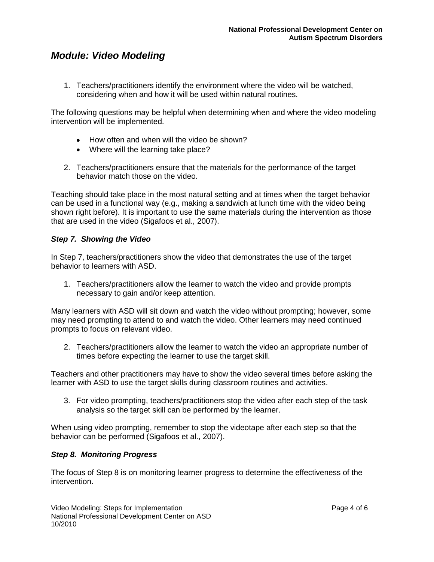1. Teachers/practitioners identify the environment where the video will be watched, considering when and how it will be used within natural routines.

The following questions may be helpful when determining when and where the video modeling intervention will be implemented.

- How often and when will the video be shown?
- Where will the learning take place?
- 2. Teachers/practitioners ensure that the materials for the performance of the target behavior match those on the video.

Teaching should take place in the most natural setting and at times when the target behavior can be used in a functional way (e.g., making a sandwich at lunch time with the video being shown right before). It is important to use the same materials during the intervention as those that are used in the video (Sigafoos et al., 2007).

#### *Step 7. Showing the Video*

In Step 7, teachers/practitioners show the video that demonstrates the use of the target behavior to learners with ASD.

1. Teachers/practitioners allow the learner to watch the video and provide prompts necessary to gain and/or keep attention.

Many learners with ASD will sit down and watch the video without prompting; however, some may need prompting to attend to and watch the video. Other learners may need continued prompts to focus on relevant video.

2. Teachers/practitioners allow the learner to watch the video an appropriate number of times before expecting the learner to use the target skill.

Teachers and other practitioners may have to show the video several times before asking the learner with ASD to use the target skills during classroom routines and activities.

3. For video prompting, teachers/practitioners stop the video after each step of the task analysis so the target skill can be performed by the learner.

When using video prompting, remember to stop the videotape after each step so that the behavior can be performed (Sigafoos et al., 2007).

#### *Step 8. Monitoring Progress*

The focus of Step 8 is on monitoring learner progress to determine the effectiveness of the intervention.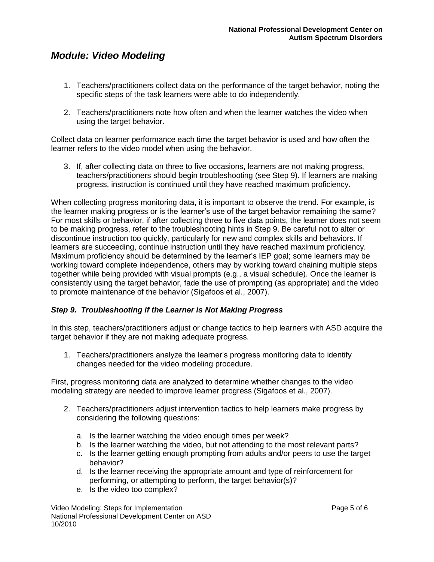- 1. Teachers/practitioners collect data on the performance of the target behavior, noting the specific steps of the task learners were able to do independently.
- 2. Teachers/practitioners note how often and when the learner watches the video when using the target behavior.

Collect data on learner performance each time the target behavior is used and how often the learner refers to the video model when using the behavior.

3. If, after collecting data on three to five occasions, learners are not making progress, teachers/practitioners should begin troubleshooting (see Step 9). If learners are making progress, instruction is continued until they have reached maximum proficiency.

When collecting progress monitoring data, it is important to observe the trend. For example, is the learner making progress or is the learner's use of the target behavior remaining the same? For most skills or behavior, if after collecting three to five data points, the learner does not seem to be making progress, refer to the troubleshooting hints in Step 9. Be careful not to alter or discontinue instruction too quickly, particularly for new and complex skills and behaviors. If learners are succeeding, continue instruction until they have reached maximum proficiency. Maximum proficiency should be determined by the learner's IEP goal; some learners may be working toward complete independence, others may by working toward chaining multiple steps together while being provided with visual prompts (e.g., a visual schedule). Once the learner is consistently using the target behavior, fade the use of prompting (as appropriate) and the video to promote maintenance of the behavior (Sigafoos et al., 2007).

#### *Step 9. Troubleshooting if the Learner is Not Making Progress*

In this step, teachers/practitioners adjust or change tactics to help learners with ASD acquire the target behavior if they are not making adequate progress.

1. Teachers/practitioners analyze the learner's progress monitoring data to identify changes needed for the video modeling procedure.

First, progress monitoring data are analyzed to determine whether changes to the video modeling strategy are needed to improve learner progress (Sigafoos et al., 2007).

- 2. Teachers/practitioners adjust intervention tactics to help learners make progress by considering the following questions:
	- a. Is the learner watching the video enough times per week?
	- b. Is the learner watching the video, but not attending to the most relevant parts?
	- c. Is the learner getting enough prompting from adults and/or peers to use the target behavior?
	- d. Is the learner receiving the appropriate amount and type of reinforcement for performing, or attempting to perform, the target behavior(s)?
	- e. Is the video too complex?

Video Modeling: Steps for Implementation **Page 5 of 6** and 2001 and 2008 and 2008 and 2008 and 2008 and 2008 and 2008 and 2008 and 2008 and 2008 and 2008 and 2008 and 2008 and 2008 and 2008 and 2008 and 2008 and 2008 and 2 National Professional Development Center on ASD 10/2010